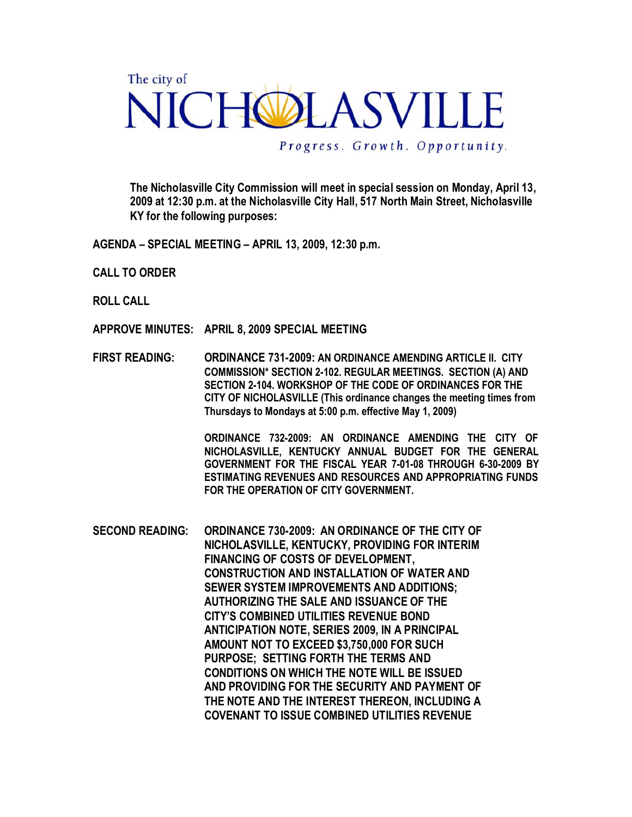## The city of NICHOLASVILLE

Progress. Growth. Opportunity.

The Nicholasville City Commission will meet in special session on Monday, April 13, 2009 at 12:30 p.m. at the Nicholasville City Hall, 517 North Main Street, Nicholasville KY for the following purposes:

AGENDA – SPECIAL MEETING – APRIL 13, 2009, 12:30 p.m.

- CALL TO ORDER
- ROLL CALL
- APPROVE MINUTES: APRIL 8, 2009 SPECIAL MEETING
- FIRST READING: ORDINANCE 731-2009: AN ORDINANCE AMENDING ARTICLE II. CITY COMMISSION\* SECTION 2-102. REGULAR MEETINGS. SECTION (A) AND SECTION 2-104. WORKSHOP OF THE CODE OF ORDINANCES FOR THE CITY OF NICHOLASVILLE (This ordinance changes the meeting times from Thursdays to Mondays at 5:00 p.m. effective May 1, 2009)

ORDINANCE 732-2009: AN ORDINANCE AMENDING THE CITY OF NICHOLASVILLE, KENTUCKY ANNUAL BUDGET FOR THE GENERAL GOVERNMENT FOR THE FISCAL YEAR 7-01-08 THROUGH 6-30-2009 BY ESTIMATING REVENUES AND RESOURCES AND APPROPRIATING FUNDS FOR THE OPERATION OF CITY GOVERNMENT.

SECOND READING: ORDINANCE 730-2009: AN ORDINANCE OF THE CITY OF NICHOLASVILLE, KENTUCKY, PROVIDING FOR INTERIM FINANCING OF COSTS OF DEVELOPMENT, CONSTRUCTION AND INSTALLATION OF WATER AND SEWER SYSTEM IMPROVEMENTS AND ADDITIONS; AUTHORIZING THE SALE AND ISSUANCE OF THE CITY'S COMBINED UTILITIES REVENUE BOND ANTICIPATION NOTE, SERIES 2009, IN A PRINCIPAL AMOUNT NOT TO EXCEED \$3,750,000 FOR SUCH PURPOSE; SETTING FORTH THE TERMS AND CONDITIONS ON WHICH THE NOTE WILL BE ISSUED AND PROVIDING FOR THE SECURITY AND PAYMENT OF THE NOTE AND THE INTEREST THEREON, INCLUDING A COVENANT TO ISSUE COMBINED UTILITIES REVENUE